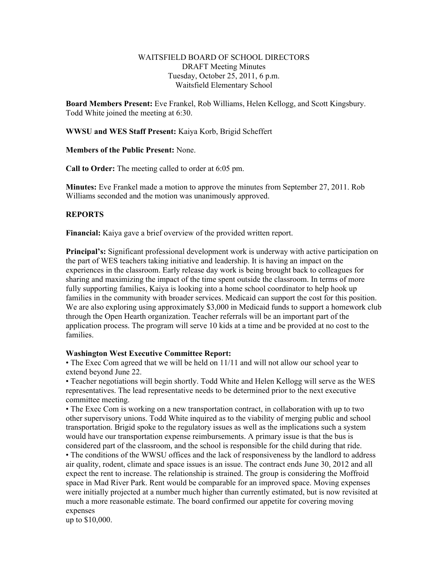#### WAITSFIELD BOARD OF SCHOOL DIRECTORS DRAFT Meeting Minutes Tuesday, October 25, 2011, 6 p.m. Waitsfield Elementary School

**Board Members Present:** Eve Frankel, Rob Williams, Helen Kellogg, and Scott Kingsbury. Todd White joined the meeting at 6:30.

**WWSU and WES Staff Present:** Kaiya Korb, Brigid Scheffert

**Members of the Public Present:** None.

**Call to Order:** The meeting called to order at 6:05 pm.

**Minutes:** Eve Frankel made a motion to approve the minutes from September 27, 2011. Rob Williams seconded and the motion was unanimously approved.

## **REPORTS**

**Financial:** Kaiya gave a brief overview of the provided written report.

**Principal's:** Significant professional development work is underway with active participation on the part of WES teachers taking initiative and leadership. It is having an impact on the experiences in the classroom. Early release day work is being brought back to colleagues for sharing and maximizing the impact of the time spent outside the classroom. In terms of more fully supporting families, Kaiya is looking into a home school coordinator to help hook up families in the community with broader services. Medicaid can support the cost for this position. We are also exploring using approximately \$3,000 in Medicaid funds to support a homework club through the Open Hearth organization. Teacher referrals will be an important part of the application process. The program will serve 10 kids at a time and be provided at no cost to the families.

## **Washington West Executive Committee Report:**

• The Exec Com agreed that we will be held on 11/11 and will not allow our school year to extend beyond June 22.

• Teacher negotiations will begin shortly. Todd White and Helen Kellogg will serve as the WES representatives. The lead representative needs to be determined prior to the next executive committee meeting.

• The Exec Com is working on a new transportation contract, in collaboration with up to two other supervisory unions. Todd White inquired as to the viability of merging public and school transportation. Brigid spoke to the regulatory issues as well as the implications such a system would have our transportation expense reimbursements. A primary issue is that the bus is considered part of the classroom, and the school is responsible for the child during that ride.

• The conditions of the WWSU offices and the lack of responsiveness by the landlord to address air quality, rodent, climate and space issues is an issue. The contract ends June 30, 2012 and all expect the rent to increase. The relationship is strained. The group is considering the Moffroid space in Mad River Park. Rent would be comparable for an improved space. Moving expenses were initially projected at a number much higher than currently estimated, but is now revisited at much a more reasonable estimate. The board confirmed our appetite for covering moving expenses

up to \$10,000.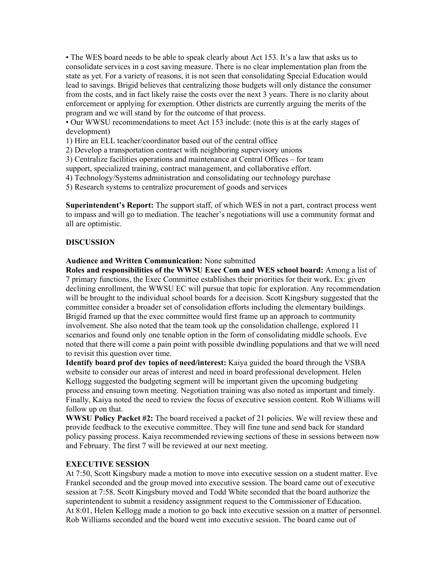• The WES board needs to be able to speak clearly about Act 153. It's a law that asks us to consolidate services in a cost saving measure. There is no clear implementation plan from the state as yet. For a variety of reasons, it is not seen that consolidating Special Education would lead to savings. Brigid believes that centralizing those budgets will only distance the consumer from the costs, and in fact likely raise the costs over the next 3 years. There is no clarity about enforcement or applying for exemption. Other districts are currently arguing the merits of the program and we will stand by for the outcome of that process.

• Our WWSU recommendations to meet Act 153 include: (note this is at the early stages of development)

1) Hire an ELL teacher/coordinator based out of the central office

2) Develop a transportation contract with neighboring supervisory unions

3) Centralize facilities operations and maintenance at Central Offices – for team

support, specialized training, contract management, and collaborative effort.

4) Technology/Systems administration and consolidating our technology purchase

5) Research systems to centralize procurement of goods and services

**Superintendent's Report:** The support staff, of which WES in not a part, contract process went to impass and will go to mediation. The teacher's negotiations will use a community format and all are optimistic.

#### **DISCUSSION**

**Audience and Written Communication:** None submitted

**Roles and responsibilities of the WWSU Exec Com and WES school board:** Among a list of 7 primary functions, the Exec Committee establishes their priorities for their work. Ex: given declining enrollment, the WWSU EC will pursue that topic for exploration. Any recommendation will be brought to the individual school boards for a decision. Scott Kingsbury suggested that the committee consider a broader set of consolidation efforts including the elementary buildings. Brigid framed up that the exec committee would first frame up an approach to community involvement. She also noted that the team took up the consolidation challenge, explored 11 scenarios and found only one tenable option in the form of consolidating middle schools. Eve noted that there will come a pain point with possible dwindling populations and that we will need to revisit this question over time.

**Identify board prof dev topics of need/interest:** Kaiya guided the board through the VSBA website to consider our areas of interest and need in board professional development. Helen Kellogg suggested the budgeting segment will be important given the upcoming budgeting process and ensuing town meeting. Negotiation training was also noted as important and timely. Finally, Kaiya noted the need to review the focus of executive session content. Rob Williams will follow up on that.

**WWSU Policy Packet #2:** The board received a packet of 21 policies. We will review these and provide feedback to the executive committee. They will fine tune and send back for standard policy passing process. Kaiya recommended reviewing sections of these in sessions between now and February. The first 7 will be reviewed at our next meeting.

## **EXECUTIVE SESSION**

At 7:50, Scott Kingsbury made a motion to move into executive session on a student matter. Eve Frankel seconded and the group moved into executive session. The board came out of executive session at 7:58. Scott Kingsbury moved and Todd White seconded that the board authorize the superintendent to submit a residency assignment request to the Commissioner of Education. At 8:01, Helen Kellogg made a motion to go back into executive session on a matter of personnel. Rob Williams seconded and the board went into executive session. The board came out of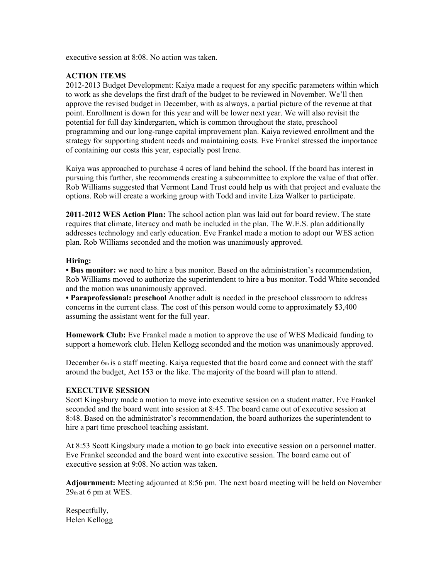executive session at 8:08. No action was taken.

# **ACTION ITEMS**

2012-2013 Budget Development: Kaiya made a request for any specific parameters within which to work as she develops the first draft of the budget to be reviewed in November. We'll then approve the revised budget in December, with as always, a partial picture of the revenue at that point. Enrollment is down for this year and will be lower next year. We will also revisit the potential for full day kindergarten, which is common throughout the state, preschool programming and our long-range capital improvement plan. Kaiya reviewed enrollment and the strategy for supporting student needs and maintaining costs. Eve Frankel stressed the importance of containing our costs this year, especially post Irene.

Kaiya was approached to purchase 4 acres of land behind the school. If the board has interest in pursuing this further, she recommends creating a subcommittee to explore the value of that offer. Rob Williams suggested that Vermont Land Trust could help us with that project and evaluate the options. Rob will create a working group with Todd and invite Liza Walker to participate.

**2011-2012 WES Action Plan:** The school action plan was laid out for board review. The state requires that climate, literacy and math be included in the plan. The W.E.S. plan additionally addresses technology and early education. Eve Frankel made a motion to adopt our WES action plan. Rob Williams seconded and the motion was unanimously approved.

## **Hiring:**

**• Bus monitor:** we need to hire a bus monitor. Based on the administration's recommendation, Rob Williams moved to authorize the superintendent to hire a bus monitor. Todd White seconded and the motion was unanimously approved.

**• Paraprofessional: preschool** Another adult is needed in the preschool classroom to address concerns in the current class. The cost of this person would come to approximately \$3,400 assuming the assistant went for the full year.

**Homework Club:** Eve Frankel made a motion to approve the use of WES Medicaid funding to support a homework club. Helen Kellogg seconded and the motion was unanimously approved.

December 6th is a staff meeting. Kaiya requested that the board come and connect with the staff around the budget, Act 153 or the like. The majority of the board will plan to attend.

## **EXECUTIVE SESSION**

Scott Kingsbury made a motion to move into executive session on a student matter. Eve Frankel seconded and the board went into session at 8:45. The board came out of executive session at 8:48. Based on the administrator's recommendation, the board authorizes the superintendent to hire a part time preschool teaching assistant.

At 8:53 Scott Kingsbury made a motion to go back into executive session on a personnel matter. Eve Frankel seconded and the board went into executive session. The board came out of executive session at 9:08. No action was taken.

**Adjournment:** Meeting adjourned at 8:56 pm. The next board meeting will be held on November  $29<sub>th</sub>$  at 6 pm at WES.

Respectfully, Helen Kellogg